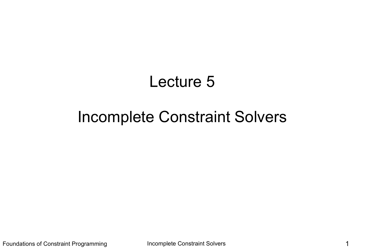# Lecture 5

# Incomplete Constraint Solvers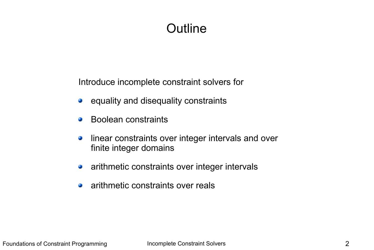# **Outline**

Introduce incomplete constraint solvers for

- equality and disequality constraints G
- Boolean constraints  $\mathcal{L}$
- linear constraints over integer intervals and over  $\mathcal{L}$ finite integer domains
- arithmetic constraints over integer intervals  $\bullet$
- arithmetic constraints over reals۰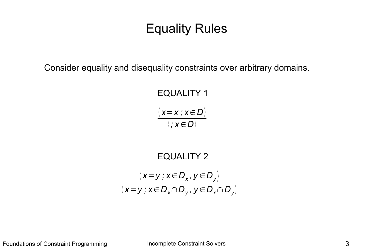# Equality Rules

Consider equality and disequality constraints over arbitrary domains.

EQUALITY 1  $\langle x=x \, ; \, x \in D \rangle$ 〈 *; x*∈*D*〉

$$
\begin{array}{c}\n\text{EQUALITY 2} \\
\langle x=y \, ; x \in D_x, y \in D_y \rangle \\
\langle x=y \, ; x \in D_x \cap D_y, y \in D_x \cap D_y \rangle\n\end{array}
$$

Foundations of Constraint Programming **Incomplete Constraint Solvers** 3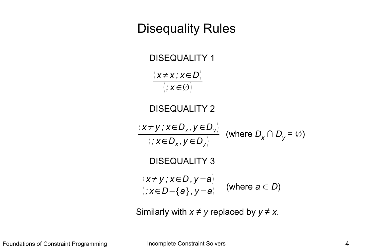### Disequality Rules

DISEQUALITY 1 DISEQUALITY 2 (where  $D_x \cap D_y = \emptyset$ ) DISEQUALITY 3  $\frac{1}{|x| \leq D - 1}$  (where  $a \in D$ ) 〈 *x*≠*y ; x*∈*D<sup>x</sup> , y* ∈*D<sup>y</sup>* 〉 〈 *; x*∈*D<sup>x</sup> , y* ∈*D<sup>y</sup>* 〉  $\langle x \neq x; x \in D \rangle$  $\langle$ ;  $x \in \emptyset \rangle$ 〈 *x*≠*y ; x*∈*D , y* =*a*〉 〈 *; x*∈*D*−{*a* } *, y*=*a*〉

Similarly with  $x \neq y$  replaced by  $y \neq x$ .

Foundations of Constraint Programming **Incomplete Constraint Solvers A**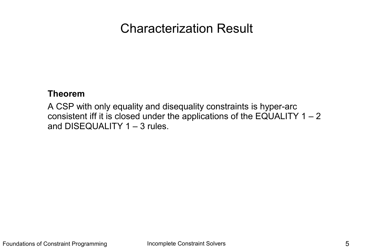# Characterization Result

#### **Theorem**

A CSP with only equality and disequality constraints is hyper-arc consistent iff it is closed under the applications of the EQUALITY  $1 - 2$ and DISEQUALITY 1 – 3 rules.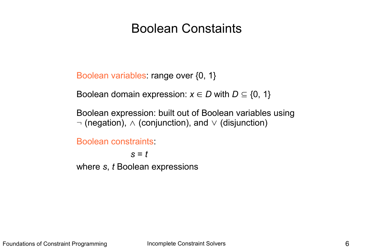# Boolean Constaints

Boolean variables: range over {0, 1}

Boolean domain expression:  $x \in D$  with  $D \subseteq \{0, 1\}$ 

Boolean expression: built out of Boolean variables using  $\neg$  (negation),  $\wedge$  (conjunction), and  $\vee$  (disjunction)

Boolean constraints:

*s* = *t* where *s*, *t* Boolean expressions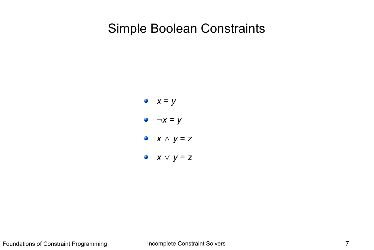# Simple Boolean Constraints

\n- $$
x = y
$$
\n- $-x = y$
\n- $x \wedge y = z$
\n- $x \vee y = z$
\n

Foundations of Constraint Programming **Incomplete Constraint Solvers Programming** 7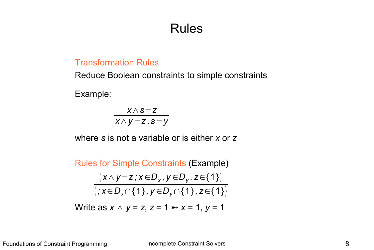# Rules

#### Transformation Rules

Reduce Boolean constraints to simple constraints

Example:

*x*∧*s*=*z x*∧*y* =*z ,s*=*y*

where *s* is not a variable or is either *x* or *z*

Rules for Simple Constraints (Example)  $\langle x \wedge y \!=\! z$  ;  $x \!\in\! D_{\chi}$  ,  $y \!\in\! D_{\chi}$  ,  $z \!\in\! \{1\} \rangle$ 〈 *; x*∈*Dx*∩{1} *, y* ∈*Dy*∩{1} *, z*∈{1}〉

Write as  $x \wedge y = z$ ,  $z = 1 \rightarrow x = 1$ ,  $y = 1$ 

Foundations of Constraint Programming **Incomplete Constraint Solvers** 8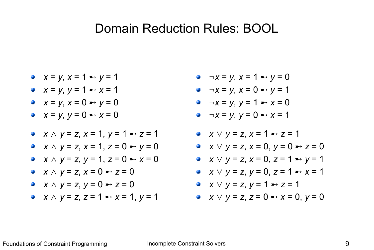#### Domain Reduction Rules: BOOL

$$
x = y, x = 1 \Rightarrow y = 1
$$

- $x = y, y = 1 \rightarrow x = 1$
- $x = y, x = 0 \rightarrow y = 0$
- $x = y, y = 0 \rightarrow x = 0$
- *x* ∧ *y* = *z*, *x* = 1, *y* = 1 ➸ *z* = 1
- *x* ∧ *y* = *z*, *x* = 1, *z* = 0 ➸ *y* = 0
- *x* ∧ *y* = *z*, *y* = 1, *z* = 0 ➸ *x* = 0
- *x* ∧ *y* = *z*, *x* = 0 ➸ *z* = 0
- *x* ∧ *y* = *z*, *y* = 0 ➸ *z* = 0
- *x* ∧ *y* = *z*, *z* = 1 ➸ *x* = 1, *y* = 1
- $\bullet$   $\neg x = y$ ,  $x = 1 \rightarrow y = 0$
- $\neg x = y, x = 0 \rightarrow y = 1$
- $\neg x = y, y = 1 \rightarrow x = 0$
- $\neg x = y, y = 0 \rightarrow x = 1$
- *x* ∨ *y* = *z*, *x* = 1 ➸ *z* = 1
- *x* ∨ *y* = *z*, *x* = 0, *y* = 0 ➸ *z* = 0
- *x* ∨ *y* = *z*, *x* = 0, *z* = 1 ➸ *y* = 1
- *x* ∨ *y* = *z*, *y* = 0, *z* = 1 ➸ *x* = 1
- *x* ∨ *y* = *z*, *y* = 1 ➸ *z* = 1
- *x* ∨ *y* = *z*, *z* = 0 ➸ *x* = 0, *y* = 0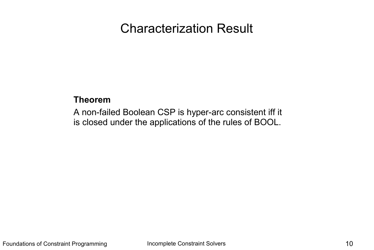# Characterization Result

#### **Theorem**

A non-failed Boolean CSP is hyper-arc consistent iff it is closed under the applications of the rules of BOOL.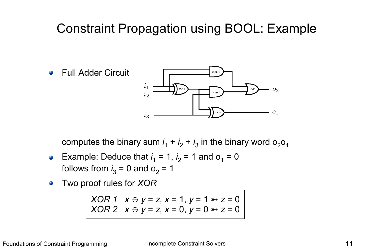# Constraint Propagation using BOOL: Example



computes the binary sum  $i_1 + i_2 + i_3$  in the binary word  $o_2o_1$ 

- Example: Deduce that  $i_1 = 1$ ,  $i_2 = 1$  and  $o_1 = 0$  $\bullet$ follows from  $i_3 = 0$  and  $o_2 = 1$
- Two proof rules for *XOR*  $\mathcal{L}$

*XOR 1*  $x \oplus y = z$ ,  $x = 1$ ,  $y = 1 \rightarrow z = 0$ *XOR* 2  $x \oplus y = z$ ,  $x = 0$ ,  $y = 0 \rightarrow z = 0$ 

Foundations of Constraint Programming **Incomplete Constraint Solvers I 11**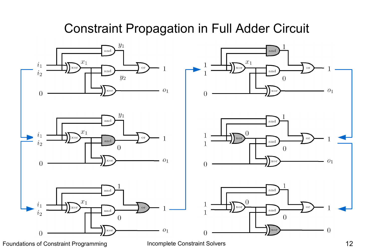# Constraint Propagation in Full Adder Circuit

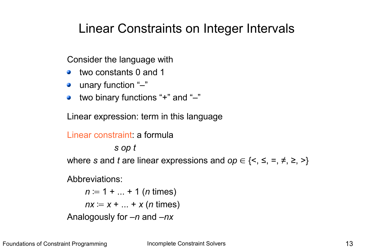# Linear Constraints on Integer Intervals

Consider the language with

- two constants 0 and 1
- unary function "-"
- two binary functions "+" and "–"  $\mathbf{r}$

Linear expression: term in this language

```
Linear constraint: a formula
             s op t
where s and t are linear expressions and op \in \{<, \leq, =, \neq, \geq, >\}Abbreviations:
    n ≔ 1 + ... + 1 (n times)
     nx = x + ... + x (n times)
Analogously for –n and –nx
```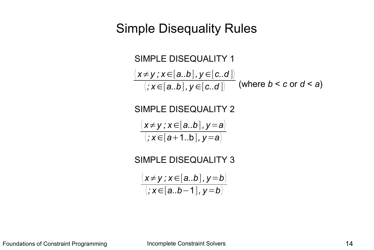### Simple Disequality Rules



Foundations of Constraint Programming and Incomplete Constraint Solvers **14** and 14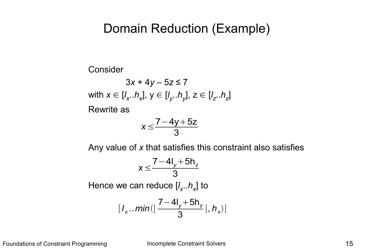#### Domain Reduction (Example)

Consider

 $3x + 4y - 5z \le 7$  $x \in [l_x..h_x], y \in [l_y..h_y], z \in [l_z..h_z]$ Rewrite as

$$
x \leq \frac{7-4y+5z}{3}
$$

Any value of *x* that satisfies this constraint also satisfies

$$
x \leq \frac{7-4I_y+5h_z}{3}
$$

Hence we can reduce [*l x* ..*h<sup>x</sup>* ] to

$$
[I_x \dots min(\lfloor \frac{7-4I_y+5h_z}{3}\rfloor, h_x)]
$$

Foundations of Constraint Programming **Incomplete Constraint Solvers IS 15**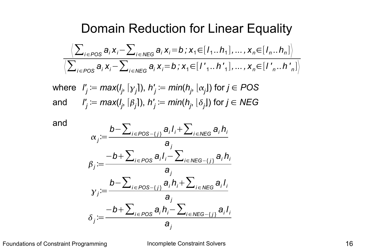#### Domain Reduction for Linear Equality

$$
\frac{\left\langle \sum_{i \in POS} a_i x_i - \sum_{i \in NEG} a_i x_i = b ; x_1 \in [I_1..h_1], ..., x_n \in [I_n..h_n] \right\rangle}{\left\langle \sum_{i \in POS} a_i x_i - \sum_{i \in NEG} a_i x_i = b ; x_1 \in [I',..h'] \right\rangle, ..., x_n \in [I',..h']}
$$

 $\mathsf{where} \ \ \mathsf{l}'_j \coloneqq \mathsf{max}(\mathsf{l}_j, \lceil \mathsf{y}_j \rceil), \ \mathsf{h}'_j \coloneqq \mathsf{min}(\mathsf{h}_j, \lfloor \mathsf{\alpha}_j \rfloor) \ \text{for} \ j \in \mathsf{POS} \ \mathsf{max}(\mathsf{p}_j, \lceil \mathsf{p}_j \rceil)$  $\mathcal{C}$  and  $\qquad'_{j} \coloneqq max(I_{j}, \lceil \beta_{j} \rceil), \, h'_{j} \coloneqq min(h_{j}, \lfloor \delta_{j} \rfloor)$  for  $j \in \mathsf{NEG}$ 



$$
\alpha_j := \frac{b - \sum_{i \in POS - \{j\}} a_i I_i + \sum_{i \in NEG} a_i h_i}{a_j}
$$
\n
$$
\beta_j := \frac{-b + \sum_{i \in POS} a_i I_i - \sum_{i \in NEG - \{j\}} a_i h_i}{a_j}
$$
\n
$$
\gamma_j := \frac{b - \sum_{i \in POS - \{j\}} a_i h_i + \sum_{i \in NEG} a_i I_i}{a_j}
$$
\n
$$
\delta_j := \frac{-b + \sum_{i \in POS} a_i h_i - \sum_{i \in NEG - \{j\}} a_i I_i}{a_j}
$$

Foundations of Constraint Programming and Incomplete Constraint Solvers **16** and 16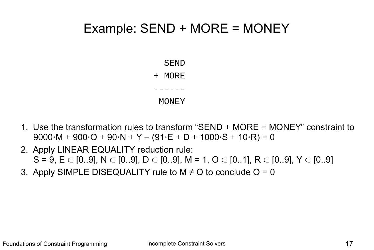# Example: SEND + MORE = MONEY

SEND

#### + MORE

------

#### MONEY

- 1. Use the transformation rules to transform "SEND + MORE = MONEY" constraint to  $9000 \cdot M + 900 \cdot O + 90 \cdot N + Y - (91 \cdot E + D + 1000 \cdot S + 10 \cdot R) = 0$
- 2. Apply LINEAR EQUALITY reduction rule:  $S = 9$ ,  $E \in [0.9]$ ,  $N \in [0.9]$ ,  $D \in [0.9]$ ,  $M = 1$ ,  $O \in [0.1]$ ,  $R \in [0.9]$ ,  $Y \in [0.9]$
- 3. Apply SIMPLE DISEQUALITY rule to  $M \neq O$  to conclude  $O = O$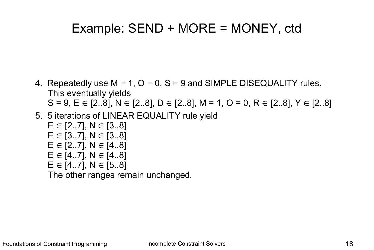# Example: SEND + MORE = MONEY, ctd

- 4. Repeatedly use  $M = 1$ ,  $O = 0$ ,  $S = 9$  and SIMPLE DISEQUALITY rules. This eventually yields  $S = 9$ ,  $E \in [2..8]$ ,  $N \in [2..8]$ ,  $D \in [2..8]$ ,  $M = 1$ ,  $O = 0$ ,  $R \in [2..8]$ ,  $Y \in [2..8]$
- 5. 5 iterations of LINEAR EQUALITY rule yield
	- $E \in [2..7]$ , N  $\in [3..8]$  $E \in [3..7]$ , N  $\in [3..8]$  $E \in [2..7]$ ,  $N \in [4..8]$  $E \in [4..7]$ , N  $\in [4..8]$  $E \in [4..7]$ ,  $N \in [5..8]$

The other ranges remain unchanged.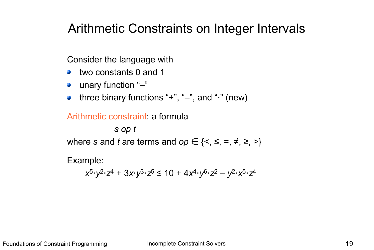# Arithmetic Constraints on Integer Intervals

Consider the language with

- two constants 0 and 1 **College**
- unary function "-"
- three binary functions "+", "–", and "⋅" (new) **Contract Contract**

#### Arithmetic constraint: a formula

*s op t*

where *s* and *t* are terms and  $op \in \{<, \leq, =, \neq, \geq, >\}$ 

Example:

$$
x^5 \cdot y^2 \cdot z^4 + 3x \cdot y^3 \cdot z^5 \le 10 + 4x^4 \cdot y^6 \cdot z^2 - y^2 \cdot x^5 \cdot z^4
$$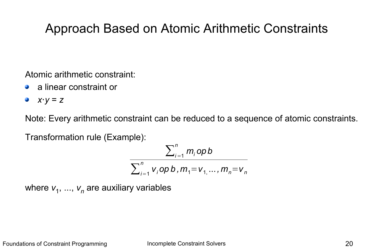# Approach Based on Atomic Arithmetic Constraints

Atomic arithmetic constraint:

- a linear constraint or
- *x*⋅*y* = *z*  $\mathbf{r}$

Note: Every arithmetic constraint can be reduced to a sequence of atomic constraints.

Transformation rule (Example):

$$
\frac{\sum_{i=1}^{n} m_i opb}{\sum_{i=1}^{n} v_i opb, m_1 = v_{1, ..., m_n} = v_n}
$$

where  $v_1$ , ...,  $v_n$  are auxiliary variables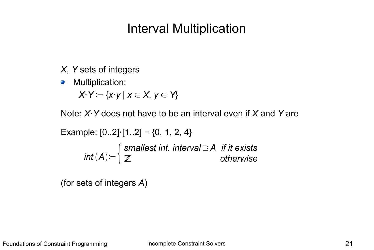# Interval Multiplication

- *X*, *Y* sets of integers
- Multiplication:  $\mathcal{L}$

*X*⋅*Y* ≔ {*x*⋅*y* | *x* ∈ *X*, *y* ∈ *Y*}

Note: *X*⋅*Y* does not have to be an interval even if *X* and *Y* are

Example:  $[0..2]$  $\cdot [1..2] = \{0, 1, 2, 4\}$ 

*int A*≔{ *smallest int. interval*⊇*A if it exists* ℤ *otherwise*

(for sets of integers *A*)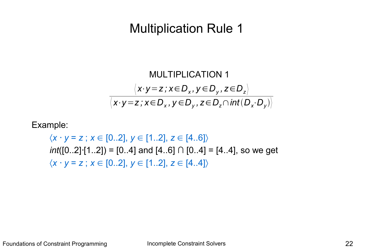# Multiplication Rule 1

MULTIPLICATION 1  
\n
$$
\langle x \cdot y = z \, ; x \in D_x, y \in D_y, z \in D_z \rangle
$$
\n
$$
\langle x \cdot y = z \, ; x \in D_x, y \in D_y, z \in D_z \cap int(D_x \cdot D_y) \rangle
$$

Example:

 $\langle x \cdot y = z \rangle; x \in [0..2], y \in [1..2], z \in [4..6] \rangle$ *int*([0..2] $\cdot$ [1..2]) = [0..4] and [4..6] ∩ [0..4] = [4..4], so we get  $\langle x \cdot y = z \rangle; x \in [0..2], y \in [1..2], z \in [4..4] \rangle$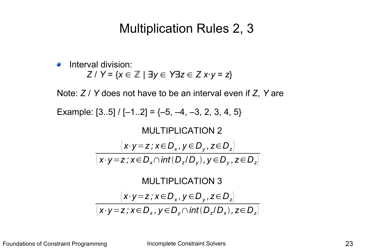### Multiplication Rules 2, 3

Interval division:  $\mathcal{L}$ *Z* / *Y* = {*x* ∈ ℤ | ∃*y* ∈ *Y*∃*z* ∈ *Z x*⋅*y* = *z*}

Note: *Z* / *Y* does not have to be an interval even if *Z*, *Y* are

Example:  $[3..5] / [-1..2] = \{-5, -4, -3, 2, 3, 4, 5\}$ 



Foundations of Constraint Programming **Incomplete Constraint Solvers Programming** 23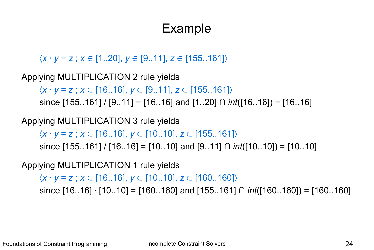# Example

〈*x y* = *z* ; *x* ∈ [1..20], *y* ∈ [9..11], *z* ∈ [155..161]〉

Applying MULTIPLICATION 2 rule yields

〈*x y* = *z* ; *x* ∈ [16..16], *y* ∈ [9..11], *z* ∈ [155..161]〉

since [155..161] / [9..11] = [16..16] and [1..20] ∩ *int*([16..16]) = [16..16]

Applying MULTIPLICATION 3 rule yields

〈*x y* = *z* ; *x* ∈ [16..16], *y* ∈ [10..10], *z* ∈ [155..161]〉

since [155..161] / [16..16] = [10..10] and [9..11] ∩ *int*([10..10]) = [10..10]

Applying MULTIPLICATION 1 rule yields

 $\langle x \cdot y = z \rangle; x \in [16..16], y \in [10..10], z \in [160..160]$ since [16..16] · [10..10] = [160..160] and [155..161] ∩ *int*([160..160]) = [160..160]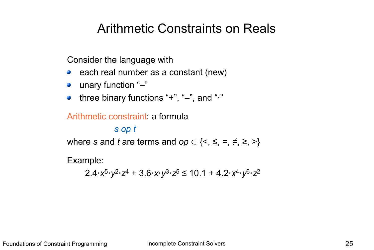# Arithmetic Constraints on Reals

Consider the language with

- each real number as a constant (new)
- unary function "-"
- three binary functions "+", "–", and "⋅"

#### Arithmetic constraint: a formula

#### *s op t*

where *s* and *t* are terms and  $op \in \{<, \leq, =, \neq, \geq, >\}$ 

Example:

2.4⋅*x*<sup>5</sup>⋅*y*<sup>2</sup>⋅*z*<sup>4</sup> + 3.6⋅*x*⋅*y*<sup>3</sup>⋅*z*<sup>5</sup> ≤ 10.1 + 4.2⋅*x*<sup>4</sup>⋅*y*<sup>6</sup>⋅*z*<sup>2</sup>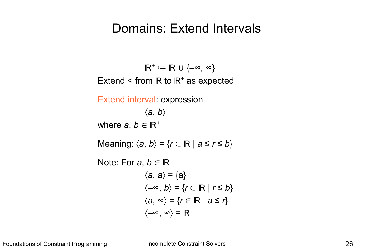#### Domains: Extend Intervals

 $\mathbb{R}^+ \coloneqq \mathbb{R} \cup \{-\infty, \infty\}$ Extend  $\leq$  from IR to IR<sup>+</sup> as expected Extend interval: expression 〈*a*, *b*〉 where  $a, b \in \mathbb{R}^+$ Meaning:  $\langle a, b \rangle = \{r \in \mathbb{R} \mid a \le r \le b\}$ Note: For  $a, b \in \mathbb{R}$  $\langle a, a \rangle = \{a\}$  $\langle -\infty, b \rangle = \{ r \in \mathbb{R} \mid r \leq b \}$  $\langle a, \infty \rangle = \{ r \in \mathbb{R} \mid a \leq r \}$  $\langle -\infty, \infty \rangle = \mathbb{R}$ 

Foundations of Constraint Programming **Incomplete Constraint Solvers Incomplete Constraint Solvers 126**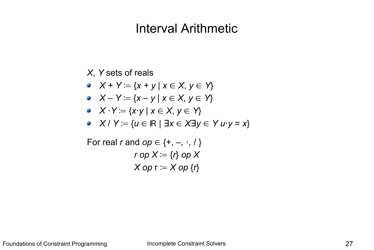### Interval Arithmetic

#### *X*, *Y* sets of reals

$$
\bullet \quad X + Y := \{x + y \mid x \in X, y \in Y\}
$$

•  $X - Y = \{x - y \mid x \in X, y \in Y\}$ 

• 
$$
X \cdot Y := \{x \cdot y \mid x \in X, y \in Y\}
$$

• 
$$
X/Y := \{u \in \mathbb{R} \mid \exists x \in X \exists y \in Y \, u \cdot y = x\}
$$

For real *r* and 
$$
op \in \{+, -, \cdot, / \}
$$
  
\n $rop X := \{r\} op X$   
\n $X op r := X op \{r\}$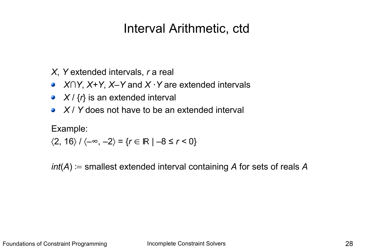# Interval Arithmetic, ctd

*X*, *Y* extended intervals, *r* a real

- *X∩Y*, *X+Y*, *X–Y* and *X* ⋅*Y* are extended intervals  $\mathcal{L}$
- $X$  /  $\{r\}$  is an extended interval
- *X* / *Y* does not have to be an extended interval  $\bullet$

Example:

$$
\langle 2, 16 \rangle / \langle -\infty, -2 \rangle = \{ r \in \mathbb{R} \mid -8 \le r < 0 \}
$$

*int*(*A*) ≔ smallest extended interval containing *A* for sets of reals *A*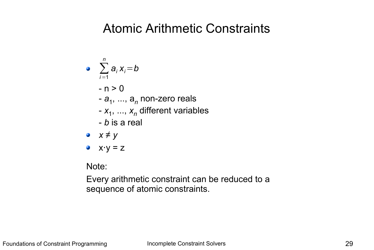### Atomic Arithmetic Constraints

\n- $$
\sum_{i=1}^{n} a_i x_i = b
$$
\n- $-n > 0$
\n- $-a_1, \ldots, a_n$  non-zero reals
\n- $-x_1, \ldots, x_n$  different variables
\n- $-b$  is a real
\n- $x \neq y$
\n- $x \cdot y = z$
\n

Note:

Every arithmetic constraint can be reduced to a sequence of atomic constraints.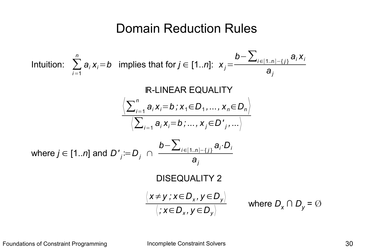### Domain Reduction Rules

Intuition: 
$$
\sum_{i=1}^{n} a_{i} x_{i} = b
$$
 implies that for  $j \in [1..n]$ :  $x_{j} = \frac{b - \sum_{i \in [1..n] - \{j\}} a_{i} x_{i}}{a_{j}}$ 

\nIR-LINEAR EQUALITY

\n
$$
\frac{\left\langle \sum_{i=1}^{n} a_{i} x_{i} = b; x_{1} \in D_{1}, ..., x_{n} \in D_{n} \right\rangle}{\left\langle \sum_{i=1}^{n} a_{i} x_{i} = b; ..., x_{j} \in D'_{j}, ... \right\rangle}
$$
\nwhere  $j \in [1..n]$  and  $D'_{j} := D_{j} \cap \frac{b - \sum_{i \in [1..n] - \{j\}} a_{i} \cdot D_{i}}{a_{j}}$ 

\nDISEQUALITY 2

\n
$$
\frac{\left\langle x \neq y; x \in D_{x}, y \in D_{y} \right\rangle}{\left\langle x \in D_{x}, y \in D_{y} \right\rangle}
$$
\nwhere  $D_{x} \cap D_{y} = \emptyset$ 

Foundations of Constraint Programming and Incomplete Constraint Solvers and American constraint Solvers 30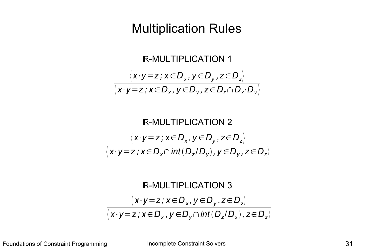# Multiplication Rules

$$
\begin{array}{c}\n\text{IR-MULTIPLICATION 1} \\
\langle x \cdot y = z \, ; \, x \in D_x, \, y \in D_y, \, z \in D_z \rangle \\
\hline\n\langle x \cdot y = z \, ; \, x \in D_x, \, y \in D_y, \, z \in D_z \cap D_x \cdot D_y \rangle\n\end{array}
$$

$$
\begin{array}{c}\n\text{R-MULTIPLICATION 2} \\
\hline\n\langle x \cdot y = z \, ; x \in D_x, y \in D_y, z \in D_z \rangle \\
\hline\n\langle x \cdot y = z \, ; x \in D_x \cap \text{int}(D_z/D_y), y \in D_y, z \in D_z \rangle\n\end{array}
$$

$$
\mathsf{IR\text{-}MULTIPLICATION 3}
$$
\n
$$
\langle x \cdot y = z \, ; \, x \in D_x, \, y \in D_y, \, z \in D_z \rangle
$$
\n
$$
\langle x \cdot y = z \, ; \, x \in D_x, \, y \in D_y \cap \text{int}(D_z/D_x), \, z \in D_z \rangle
$$

Foundations of Constraint Programming and Incomplete Constraint Solvers and American constraint Solvers and 31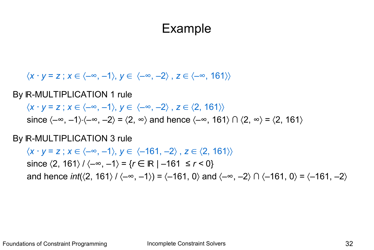### Example

 $\langle x \cdot y = z : x \in \langle -\infty, -1 \rangle, y \in \langle -\infty, -2 \rangle, z \in \langle -\infty, 161 \rangle \rangle$ 

By **R-MULTIPLICATION 1 rule** 

 $\langle x \cdot y = z \, ; \, x \in \langle -\infty, -1 \rangle, \, y \in \langle -\infty, -2 \rangle, \, z \in \langle 2, 161 \rangle \rangle$ since  $\langle -\infty, -1 \rangle$  $\langle -\infty, -2 \rangle = \langle 2, \infty \rangle$  and hence  $\langle -\infty, 161 \rangle \cap \langle 2, \infty \rangle = \langle 2, 161 \rangle$ 

By **R-MULTIPLICATION 3 rule** 

 $\langle x \cdot y = z \rangle; x \in \langle -\infty, -1 \rangle, y \in \langle -161, -2 \rangle, z \in \langle 2, 161 \rangle \rangle$ since  $\langle 2, 161 \rangle / \langle -\infty, -1 \rangle = \{ r \in \mathbb{R} \mid -161 \le r < 0 \}$ and hence *int*( $\langle 2, 161 \rangle / \langle -\infty, -1 \rangle$ ) =  $\langle -161, 0 \rangle$  and  $\langle -\infty, -2 \rangle \cap \langle -161, 0 \rangle = \langle -161, -2 \rangle$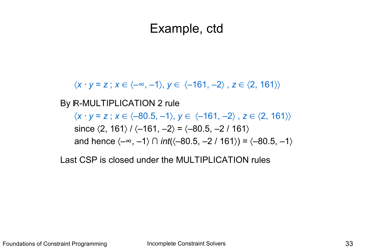### Example, ctd

 $\langle x \cdot y = z \rangle; x \in \langle -\infty, -1 \rangle, y \in \langle -161, -2 \rangle, z \in \langle 2, 161 \rangle \rangle$ 

By **R-MULTIPLICATION 2 rule** 

 $\langle x \cdot y = z \rangle; x \in \langle -80.5, -1 \rangle, y \in \langle -161, -2 \rangle, z \in \langle 2, 161 \rangle \rangle$ since  $\langle 2, 161 \rangle / \langle -161, -2 \rangle = \langle -80.5, -2 / 161 \rangle$ and hence  $\langle -\infty, -1 \rangle$   $\cap$  *int*( $\langle -80.5, -2 / 161 \rangle$ ) =  $\langle -80.5, -1 \rangle$ 

Last CSP is closed under the MULTIPLICATION rules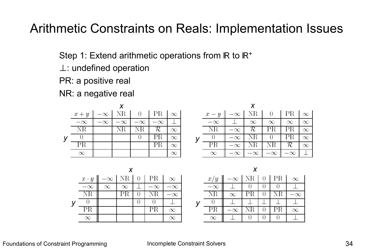# Arithmetic Constraints on Reals: Implementation Issues

Step 1: Extend arithmetic operations from IR to IR<sup>+</sup>

- ⊥: undefined operation
- PR: a positive real
- NR: a negative real

| $x+y \parallel -\infty$   NR   0   PR   $\infty$ |           |           |           |          | $x - y$   |           |           | $-\infty$ NR 0 PR |           |
|--------------------------------------------------|-----------|-----------|-----------|----------|-----------|-----------|-----------|-------------------|-----------|
| $-\infty$                                        | $-\infty$ | $-\infty$ | $-\infty$ |          | $-\infty$ |           | $\infty$  | $\infty$          |           |
|                                                  |           |           |           | $\infty$ |           |           |           |                   |           |
|                                                  |           |           |           | X        |           |           |           |                   |           |
|                                                  |           |           |           | X        |           |           |           |                   |           |
|                                                  |           |           |           | $\infty$ |           | $-\infty$ | $-\infty$ | $-\infty$         | $-\infty$ |

| $x \cdot y$ |          |  | $-\infty$ NR 0   PR   $\infty$ |  | x/y       | $-\infty$ | NR |
|-------------|----------|--|--------------------------------|--|-----------|-----------|----|
| $-\infty$   | $\infty$ |  |                                |  | $-\infty$ |           |    |
|             |          |  |                                |  |           |           |    |
|             |          |  |                                |  |           |           |    |
|             |          |  |                                |  |           |           |    |
|             |          |  |                                |  |           |           |    |

 $\infty$ 

 $\infty$ 

 $\infty$ 

 $\infty$ 

 $\infty$ 

| x/y       |   | $-\infty$   NR | $0$   PR | $\infty$  |
|-----------|---|----------------|----------|-----------|
| $-\infty$ |   |                |          |           |
|           | ∝ |                |          |           |
|           |   |                |          |           |
|           |   |                |          | $\propto$ |
|           |   |                |          |           |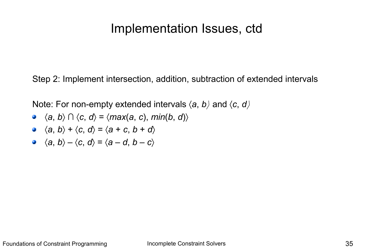#### Implementation Issues, ctd

Step 2: Implement intersection, addition, subtraction of extended intervals

Note: For non-empty extended intervals 〈*a*, *b〉* and 〈*c*, *d〉*

- $\langle a, b \rangle \cap \langle c, d \rangle = \langle max(a, c), min(b, d) \rangle$
- $\langle a, b \rangle + \langle c, d \rangle = \langle a + c, b + d \rangle$
- $\langle a, b \rangle \langle c, d \rangle = \langle a d, b c \rangle$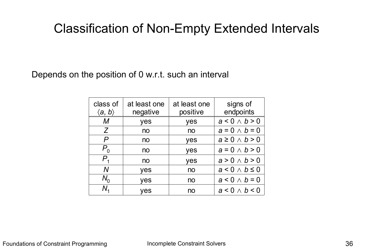# Classification of Non-Empty Extended Intervals

Depends on the position of 0 w.r.t. such an interval

| class of<br>$\langle$ a, b $\rangle$ | at least one<br>negative | at least one<br>positive | signs of<br>endpoints   |
|--------------------------------------|--------------------------|--------------------------|-------------------------|
| М                                    | yes                      | yes                      | $a < 0 \wedge b > 0$    |
| Z                                    | no                       | no                       | $a=0 \wedge b=0$        |
| P                                    | no                       | yes                      | $a \geq 0 \land b > 0$  |
| $P_{0}$                              | no                       | yes                      | $a=0 \wedge b>0$        |
| $P_{\rm 4}$                          | no                       | yes                      | $a > 0 \wedge b > 0$    |
| N                                    | yes                      | no                       | $a < 0 \wedge b \leq 0$ |
| $N_{0}$                              | yes                      | no                       | $a < 0 \wedge b = 0$    |
| N,                                   | ves                      | no                       | $a < 0 \wedge b < 0$    |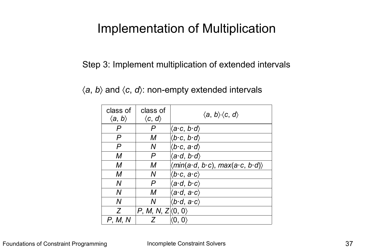# Implementation of Multiplication

Step 3: Implement multiplication of extended intervals

|  |  |  |  |  | $\langle a, b \rangle$ and $\langle c, d \rangle$ : non-empty extended intervals |  |  |
|--|--|--|--|--|----------------------------------------------------------------------------------|--|--|
|--|--|--|--|--|----------------------------------------------------------------------------------|--|--|

| class of<br>$\langle a, b \rangle$ | class of<br>$\langle c, d \rangle$ | $\langle a, b \rangle \langle c, d \rangle$                       |
|------------------------------------|------------------------------------|-------------------------------------------------------------------|
| P                                  | P                                  | $\langle a\mathord{\cdot} c,\, b\mathord{\cdot} d\rangle$         |
| P                                  | М                                  | $\langle b\cdot c, b\cdot d \rangle$                              |
| P                                  | N                                  | $\langle b\mathbf{\cdot} c, a\mathbf{\cdot} d\rangle$             |
| M                                  | P                                  | $\langle a \cdot d, b \cdot d \rangle$                            |
| M                                  | М                                  | $\langle min(a\cdot d, b\cdot c), max(a\cdot c, b\cdot d)\rangle$ |
| М                                  | Ν                                  | $\langle b\mathord{\cdot} c,\, a\mathord{\cdot} c\rangle$         |
| N                                  | P                                  | $\langle a \cdot d, b \cdot c \rangle$                            |
| $\overline{N}$                     | M                                  | $\langle a \cdot d, a \cdot c \rangle$                            |
| N                                  | Ν                                  | $\langle b\cdot d, a\cdot c\rangle$                               |
| Z                                  | P, M, N, $Z(0, 0)$                 |                                                                   |
| P, M, N                            | Ζ                                  |                                                                   |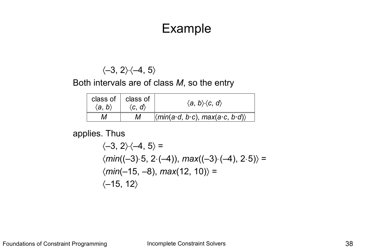### Example

 $\langle -3, 2 \rangle \langle -4, 5 \rangle$ 

Both intervals are of class *M*, so the entry

| $\langle a, b \rangle$ | class of $\parallel$ class of<br>$\langle c, d \rangle$ | $\langle a, b \rangle \langle c, d \rangle$                            |
|------------------------|---------------------------------------------------------|------------------------------------------------------------------------|
| М                      | М                                                       | $\langle min(a \cdot d, b \cdot c), max(a \cdot c, b \cdot d) \rangle$ |

applies. Thus

$$
\langle -3, 2 \rangle \langle -4, 5 \rangle =
$$
  

$$
\langle min((-3) \cdot 5, 2 \cdot (-4)), max((-3) \cdot (-4), 2 \cdot 5) \rangle =
$$
  

$$
\langle min(-15, -8), max(12, 10) \rangle =
$$
  

$$
\langle -15, 12 \rangle
$$

Foundations of Constraint Programming and Incomplete Constraint Solvers and American constraint Solvers 38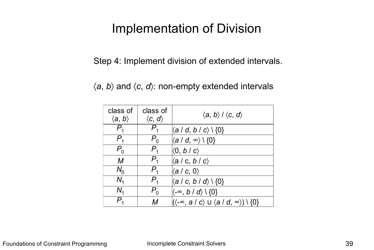# Implementation of Division

Step 4: Implement division of extended intervals.

 $\langle a, b \rangle$  and  $\langle c, d \rangle$ : non-empty extended intervals

| class of<br>$\langle a, b \rangle$ | class of<br>$\langle c, d \rangle$ | $\langle a, b \rangle / \langle c, d \rangle$                                    |
|------------------------------------|------------------------------------|----------------------------------------------------------------------------------|
|                                    |                                    | $\langle a \mid d, b \mid c \rangle \setminus \{0\}$                             |
| $P_{\overline{1}}$                 | $P_{0}$                            | $(a/d, \infty) \setminus \{0\}$                                                  |
| $P_0$                              | $P_{\scriptscriptstyle{4}}$        | $\langle 0, b/c \rangle$                                                         |
| M                                  | $P_{\scriptscriptstyle{4}}$        | $\langle$ a / c, b / c $\rangle$                                                 |
| $N_0$                              | $P_{\scriptscriptstyle{4}}$        | $\langle a/c, 0 \rangle$                                                         |
| $N_{4}$                            | $P_{\tiny{4}}$                     | $\langle a \mid c, b \mid d \rangle \setminus \{0\}$                             |
| $N_{4}$                            | $P_{0}$                            | $\langle -\infty, b \mid d \rangle \setminus \{0\}$                              |
|                                    | М                                  | $\ket{(\textbf{-}\infty, a \mid c} \cup \bra{a \mid d, \infty}) \setminus \{0\}$ |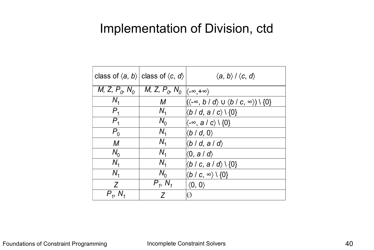### Implementation of Division, ctd

|                   | class of $\langle a, b \rangle$ class of $\langle c, d \rangle$                                              | $\langle a, b \rangle / \langle c, d \rangle$                                       |
|-------------------|--------------------------------------------------------------------------------------------------------------|-------------------------------------------------------------------------------------|
|                   | <i>M</i> , <i>Z</i> , $P_0$ , $N_0$   <i>M</i> , <i>Z</i> , $P_0$ , $N_0$ $\langle -\infty, +\infty \rangle$ |                                                                                     |
| $N_{1}$           | M                                                                                                            | $\ket{(\braket{-\infty}, b \mid d} \cup \bra{b} \in, \ket{\infty}) \setminus \{0\}$ |
| $P_{1}$           | $N_{\rm 4}$                                                                                                  | $\langle b \mid d, a \mid c \rangle \setminus \{0\}$                                |
| $P_{1}$           | $N_0$                                                                                                        | $\langle -\infty, a/c \rangle$ \ {0}                                                |
| $P_{0}$           | $N_{\rm 4}$                                                                                                  | $\langle b \mid d, 0 \rangle$                                                       |
| M                 | $N_{1}$                                                                                                      | $ \langle b \mid d, a \mid d \rangle $                                              |
| $N_0$             | $N_{1}$                                                                                                      | $\langle 0, a \mid d \rangle$                                                       |
| $N_{1}$           | $N_{1}$                                                                                                      | $\langle b \mid c, a \mid d \rangle \setminus \{0\}$                                |
| N <sub>1</sub>    | $N_0$                                                                                                        | $\langle b \mid c, \infty \rangle \setminus \{0\}$                                  |
| Z                 | $P_1, N_1$                                                                                                   | $\langle 0, 0 \rangle$                                                              |
| $P_{1}$ , $N_{1}$ | 7                                                                                                            |                                                                                     |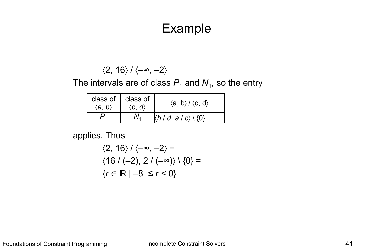### Example

$$
\langle 2, 16 \rangle / \langle -\infty, -2 \rangle
$$

The intervals are of class  $P_1$  and  $N_1$ , so the entry

| class of<br>$\langle a, b \rangle$ | class of<br>$\langle c, d \rangle$ | $\langle a, b \rangle / \langle c, d \rangle$        |
|------------------------------------|------------------------------------|------------------------------------------------------|
|                                    |                                    | $\langle b \mid d, a \mid c \rangle \setminus \{0\}$ |

applies. Thus

$$
\langle 2, 16 \rangle / \langle -\infty, -2 \rangle =
$$
  

$$
\langle 16 / (-2), 2 / (-\infty) \rangle \setminus \{0\} =
$$
  

$$
\{r \in \mathbb{R} \mid -8 \le r < 0\}
$$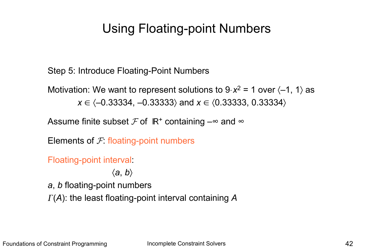# Using Floating-point Numbers

Step 5: Introduce Floating-Point Numbers

Motivation: We want to represent solutions to  $9 \times x^2 = 1$  over  $\langle -1, 1 \rangle$  as  $x \in \langle -0.33334, -0.33333 \rangle$  and  $x \in \langle 0.33333, 0.33334 \rangle$ 

Assume finite subset  $\mathcal F$  of  $\mathbb R^+$  containing  $-\infty$  and  $\infty$ 

Elements of  $F$ : floating-point numbers

Floating-point interval:

〈*a*, *b*〉

*a*, *b* floating-point numbers (*A*): the least floating-point interval containing *A*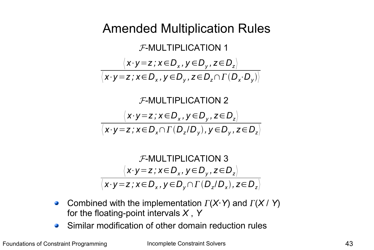# Amended Multiplication Rules

 $\langle x \cdot y \, z \rangle, \, x \in D_x, y \in D_y, z \in D_z \rangle$  $\langle x \cdot y \!=\! z \, ; x \!\in\! D_{\textsf{x}} \, , y \!\in\! D_{\textsf{y}} \, , z \!\in\! D_{\textsf{z}} \!\cap\! \Gamma\left(D_{\textsf{x}} \!\cdot\! D_{\textsf{y}}\right) \rangle$ F-MULTIPLICATION 1

$$
\mathcal{F}\text{-MULTIPLICATION 2}
$$
\n
$$
\langle x \cdot y = z \, ; \, x \in D_x, \, y \in D_y, \, z \in D_z \rangle
$$
\n
$$
\langle x \cdot y = z \, ; \, x \in D_x \cap \Gamma(D_z/D_y), \, y \in D_y, \, z \in D_z \rangle
$$

$$
\mathcal{F}\text{-MULTIPLICATION } 3
$$
\n
$$
\langle x \cdot y = z \, ; \, x \in D_x, \, y \in D_y, \, z \in D_z \rangle
$$
\n
$$
\langle x \cdot y = z \, ; \, x \in D_x, \, y \in D_y \cap \Gamma(D_z/D_x), \, z \in D_z \rangle
$$

- Combined with the implementation  $\Gamma(X \cdot Y)$  and  $\Gamma(X \mid Y)$ **Cold** for the floating-point intervals *X* , *Y*
- Similar modification of other domain reduction rules $\mathbf{G}$

Foundations of Constraint Programming **Incomplete Constraint Solvers Incomplete Constraint Solvers 143**